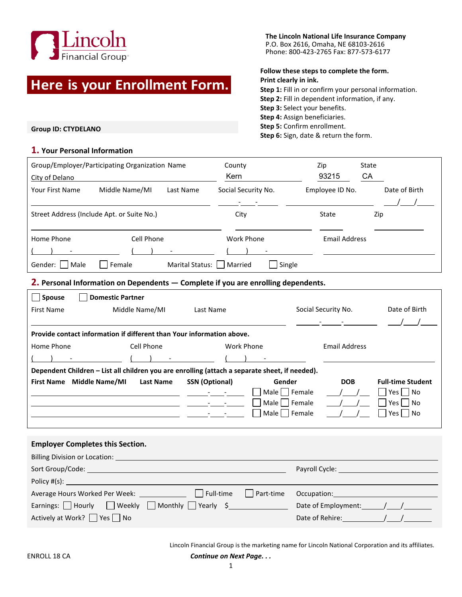

# **Here is your Enrollment Form.**

**The Lincoln National Life Insurance Company** P.O. Box 2616, Omaha, NE 68103-2616 Phone: 800-423-2765 Fax: 877-573-6177

### **Follow these steps to complete the form. Print clearly in ink.**

**Step 1:** Fill in or confirm your personal information. **Step 2:** Fill in dependent information, if any. **Step 3:** Select your benefits. **Step 4:** Assign beneficiaries. **Step 5:** Confirm enrollment. **Step 6:** Sign, date & return the form.

**Group ID: CTYDELANO**

## **1. Your Personal Information**

| Group/Employer/Participating Organization Name<br>City of Delano |                |                 | County<br>Kern       | Zip<br>93215    | State<br>СA   |
|------------------------------------------------------------------|----------------|-----------------|----------------------|-----------------|---------------|
| Your First Name                                                  | Middle Name/MI | Last Name       | Social Security No.  | Employee ID No. | Date of Birth |
| Street Address (Include Apt. or Suite No.)                       |                |                 | City                 | State           | Zip           |
| Cell Phone<br>Home Phone                                         |                | Work Phone      | <b>Email Address</b> |                 |               |
| Gender:<br>Male                                                  | Female         | Marital Status: | Single<br>Married    |                 |               |

**2. Personal Information on Dependents — Complete if you are enrolling dependents.**

| $\Box$ Spouse                                                                                  | <b>Domestic Partner</b>                                               |                       |               |                     |                          |  |  |
|------------------------------------------------------------------------------------------------|-----------------------------------------------------------------------|-----------------------|---------------|---------------------|--------------------------|--|--|
| <b>First Name</b>                                                                              | Middle Name/MI                                                        | Last Name             |               | Social Security No. | Date of Birth            |  |  |
|                                                                                                |                                                                       |                       |               |                     |                          |  |  |
|                                                                                                | Provide contact information if different than Your information above. |                       |               |                     |                          |  |  |
| Home Phone<br>Cell Phone                                                                       |                                                                       |                       | Work Phone    | Email Address       |                          |  |  |
|                                                                                                |                                                                       |                       |               |                     |                          |  |  |
| Dependent Children - List all children you are enrolling (attach a separate sheet, if needed). |                                                                       |                       |               |                     |                          |  |  |
|                                                                                                |                                                                       |                       |               |                     |                          |  |  |
| First Name Middle Name/MI                                                                      | <b>Last Name</b>                                                      | <b>SSN</b> (Optional) | Gender        | <b>DOB</b>          | <b>Full-time Student</b> |  |  |
|                                                                                                |                                                                       |                       | Male   Female |                     | $Yes \mid \text{No}$     |  |  |
|                                                                                                |                                                                       |                       | Male   Female |                     | Yes     No               |  |  |
|                                                                                                |                                                                       |                       | Male   Female |                     | Yes     No               |  |  |
|                                                                                                |                                                                       |                       |               |                     |                          |  |  |
|                                                                                                |                                                                       |                       |               |                     |                          |  |  |
|                                                                                                | <b>Employer Completes this Section.</b>                               |                       |               |                     |                          |  |  |

| Sort Group/Code:                                        | Payroll Cycle: |           |                     |
|---------------------------------------------------------|----------------|-----------|---------------------|
| Policy #(s):                                            |                |           |                     |
| Average Hours Worked Per Week: _____________            | l Full-time    | Part-time | Occupation:         |
| Earnings: Hourly $\Box$ Weekly $\Box$ Monthly Yearly \$ |                |           | Date of Employment: |
| Actively at Work? $\Box$ Yes $\Box$ No                  |                |           | Date of Rehire:     |

Lincoln Financial Group is the marketing name for Lincoln National Corporation and its affiliates.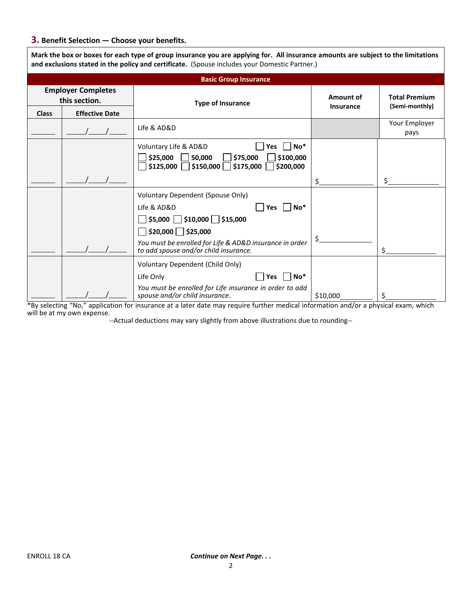# **3. Benefit Selection — Choose your benefits.**

| and exclusions stated in the policy and certificate. (Spouse includes your Domestic Partner.) |                       |                                                                                                                                                                                   |                               |                                        |  |  |
|-----------------------------------------------------------------------------------------------|-----------------------|-----------------------------------------------------------------------------------------------------------------------------------------------------------------------------------|-------------------------------|----------------------------------------|--|--|
|                                                                                               |                       | <b>Basic Group Insurance</b>                                                                                                                                                      |                               |                                        |  |  |
| <b>Employer Completes</b><br>this section.                                                    |                       | <b>Type of Insurance</b>                                                                                                                                                          | Amount of<br><b>Insurance</b> | <b>Total Premium</b><br>(Semi-monthly) |  |  |
| <b>Class</b>                                                                                  | <b>Effective Date</b> |                                                                                                                                                                                   |                               |                                        |  |  |
|                                                                                               |                       | Life & AD&D                                                                                                                                                                       |                               | Your Employer<br>pays                  |  |  |
|                                                                                               |                       | Voluntary Life & AD&D<br>No*<br><b>Yes</b><br>\$25,000<br>$\overline{\phantom{a}}$ 50,000<br>\$100,000<br>\$75,000<br>$\Box$ \$150,000 $\Box$ \$175,000<br>\$125,000<br>\$200,000 |                               |                                        |  |  |
|                                                                                               |                       |                                                                                                                                                                                   | Ś.                            |                                        |  |  |
|                                                                                               |                       | <b>Voluntary Dependent (Spouse Only)</b><br>$No*$<br>Life & AD&D<br>Yes $ $<br>$\Box$ \$5,000 $\Box$ \$10,000 $\Box$ \$15,000                                                     |                               |                                        |  |  |
|                                                                                               |                       | $\Box$ \$20,000 $\Box$ \$25,000<br>You must be enrolled for Life & AD&D insurance in order<br>to add spouse and/or child insurance.                                               | Ś.                            |                                        |  |  |
|                                                                                               |                       | Voluntary Dependent (Child Only)<br>$No*$<br>Life Only<br><b>Yes</b><br>You must be enrolled for Life insurance in order to add<br>spouse and/or child insurance.                 | \$10,000                      |                                        |  |  |

**Mark the box or boxes for each type of group insurance you are applying for. All insurance amounts are subject to the limitations** 

\*By selecting "No," application for insurance at a later date may require further medical information and/or a physical exam, which will be at my own expense.

--Actual deductions may vary slightly from above illustrations due to rounding--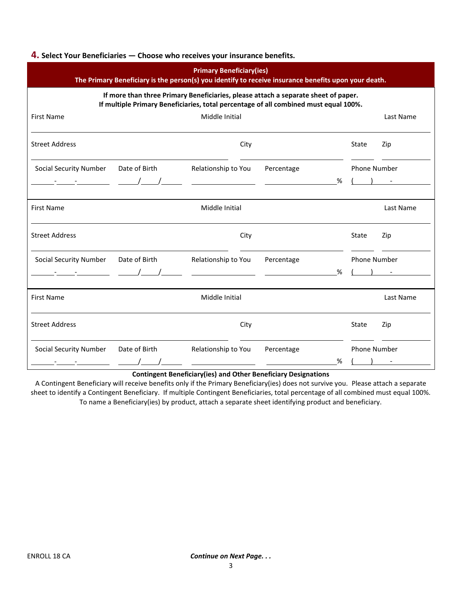#### **4. Select Your Beneficiaries — Choose who receives your insurance benefits.**

| <b>Primary Beneficiary(ies)</b><br>The Primary Beneficiary is the person(s) you identify to receive insurance benefits upon your death.                                    |               |                     |            |   |                     |           |
|----------------------------------------------------------------------------------------------------------------------------------------------------------------------------|---------------|---------------------|------------|---|---------------------|-----------|
| If more than three Primary Beneficiaries, please attach a separate sheet of paper.<br>If multiple Primary Beneficiaries, total percentage of all combined must equal 100%. |               |                     |            |   |                     |           |
| <b>First Name</b>                                                                                                                                                          |               | Middle Initial      |            |   |                     | Last Name |
| <b>Street Address</b>                                                                                                                                                      |               | City                |            |   | State               | Zip       |
| <b>Social Security Number</b>                                                                                                                                              | Date of Birth | Relationship to You | Percentage |   | <b>Phone Number</b> |           |
| $\frac{1}{2}$ $\frac{1}{2}$ $\frac{1}{2}$ $\frac{1}{2}$ $\frac{1}{2}$ $\frac{1}{2}$                                                                                        |               |                     |            | % |                     |           |
| <b>First Name</b>                                                                                                                                                          |               | Middle Initial      |            |   |                     | Last Name |
| <b>Street Address</b>                                                                                                                                                      |               | City                |            |   | State               | Zip       |
| <b>Social Security Number</b>                                                                                                                                              | Date of Birth | Relationship to You | Percentage |   | <b>Phone Number</b> |           |
|                                                                                                                                                                            | $\sqrt{1}$    |                     |            | % |                     |           |
| <b>First Name</b>                                                                                                                                                          |               | Middle Initial      |            |   |                     | Last Name |
| <b>Street Address</b>                                                                                                                                                      |               | City                |            |   | State               | Zip       |
| <b>Social Security Number</b>                                                                                                                                              | Date of Birth | Relationship to You | Percentage |   | <b>Phone Number</b> |           |
|                                                                                                                                                                            |               |                     |            | % |                     |           |

#### **Contingent Beneficiary(ies) and Other Beneficiary Designations**

A Contingent Beneficiary will receive benefits only if the Primary Beneficiary(ies) does not survive you. Please attach a separate sheet to identify a Contingent Beneficiary. If multiple Contingent Beneficiaries, total percentage of all combined must equal 100%. To name a Beneficiary(ies) by product, attach a separate sheet identifying product and beneficiary.